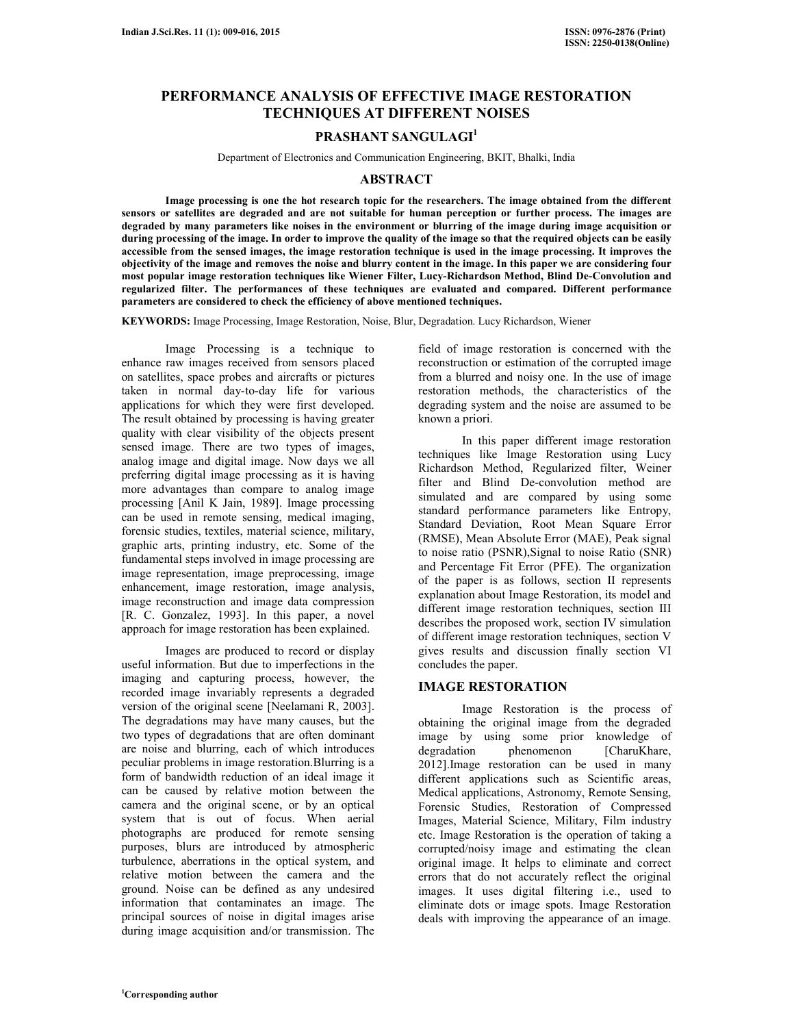# **PERFORMANCE ANALYSIS OF EFFECTIVE IMAGE RESTORATION TECHNIQUES AT DIFFERENT NOISES**

# **PRASHANT SANGULAGI<sup>1</sup>**

Department of Electronics and Communication Engineering, BKIT, Bhalki, India

## **ABSTRACT**

 **Image processing is one the hot research topic for the researchers. The image obtained from the different sensors or satellites are degraded and are not suitable for human perception or further process. The images are degraded by many parameters like noises in the environment or blurring of the image during image acquisition or during processing of the image. In order to improve the quality of the image so that the required objects can be easily accessible from the sensed images, the image restoration technique is used in the image processing. It improves the objectivity of the image and removes the noise and blurry content in the image. In this paper we are considering four most popular image restoration techniques like Wiener Filter, Lucy-Richardson Method, Blind De-Convolution and regularized filter. The performances of these techniques are evaluated and compared. Different performance parameters are considered to check the efficiency of above mentioned techniques.**

**KEYWORDS:** Image Processing, Image Restoration, Noise, Blur, Degradation. Lucy Richardson, Wiener

 Image Processing is a technique to enhance raw images received from sensors placed on satellites, space probes and aircrafts or pictures taken in normal day-to-day life for various applications for which they were first developed. The result obtained by processing is having greater quality with clear visibility of the objects present sensed image. There are two types of images, analog image and digital image. Now days we all preferring digital image processing as it is having more advantages than compare to analog image processing [Anil K Jain, 1989]. Image processing can be used in remote sensing, medical imaging, forensic studies, textiles, material science, military, graphic arts, printing industry, etc. Some of the fundamental steps involved in image processing are image representation, image preprocessing, image enhancement, image restoration, image analysis, image reconstruction and image data compression [R. C. Gonzalez, 1993]. In this paper, a novel approach for image restoration has been explained.

 Images are produced to record or display useful information. But due to imperfections in the imaging and capturing process, however, the recorded image invariably represents a degraded version of the original scene [Neelamani R, 2003]. The degradations may have many causes, but the two types of degradations that are often dominant are noise and blurring, each of which introduces peculiar problems in image restoration.Blurring is a form of bandwidth reduction of an ideal image it can be caused by relative motion between the camera and the original scene, or by an optical system that is out of focus. When aerial photographs are produced for remote sensing purposes, blurs are introduced by atmospheric turbulence, aberrations in the optical system, and relative motion between the camera and the ground. Noise can be defined as any undesired information that contaminates an image. The principal sources of noise in digital images arise during image acquisition and/or transmission. The

field of image restoration is concerned with the reconstruction or estimation of the corrupted image from a blurred and noisy one. In the use of image restoration methods, the characteristics of the degrading system and the noise are assumed to be known a priori.

 In this paper different image restoration techniques like Image Restoration using Lucy Richardson Method, Regularized filter, Weiner filter and Blind De-convolution method are simulated and are compared by using some standard performance parameters like Entropy, Standard Deviation, Root Mean Square Error (RMSE), Mean Absolute Error (MAE), Peak signal to noise ratio (PSNR),Signal to noise Ratio (SNR) and Percentage Fit Error (PFE). The organization of the paper is as follows, section II represents explanation about Image Restoration, its model and different image restoration techniques, section III describes the proposed work, section IV simulation of different image restoration techniques, section V gives results and discussion finally section VI concludes the paper.

# **IMAGE RESTORATION**

 Image Restoration is the process of obtaining the original image from the degraded image by using some prior knowledge of degradation phenomenon [CharuKhare, 2012].Image restoration can be used in many different applications such as Scientific areas, Medical applications, Astronomy, Remote Sensing, Forensic Studies, Restoration of Compressed Images, Material Science, Military, Film industry etc. Image Restoration is the operation of taking a corrupted/noisy image and estimating the clean original image. It helps to eliminate and correct errors that do not accurately reflect the original images. It uses digital filtering i.e., used to eliminate dots or image spots. Image Restoration deals with improving the appearance of an image.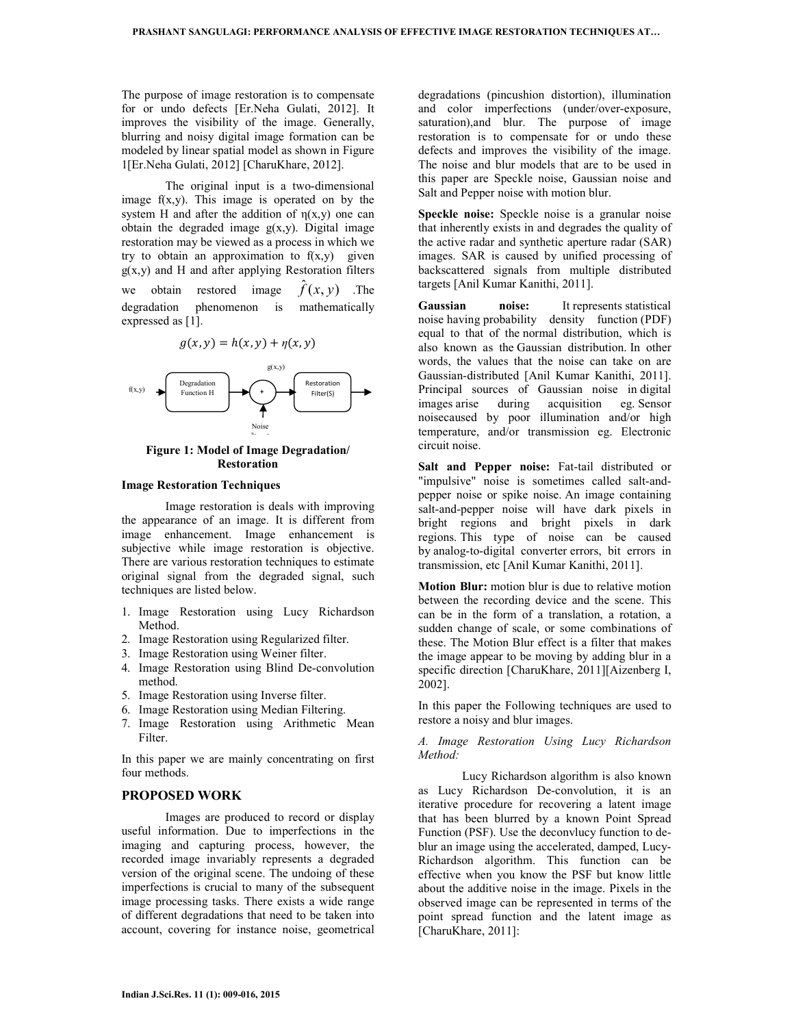The purpose of image restoration is to compensate for or undo defects [Er.Neha Gulati, 2012]. It improves the visibility of the image. Generally, blurring and noisy digital image formation can be modeled by linear spatial model as shown in Figure 1[Er.Neha Gulati, 2012] [CharuKhare, 2012].

 The original input is a two-dimensional image f(x,y). This image is operated on by the system H and after the addition of  $n(x,y)$  one can obtain the degraded image  $g(x,y)$ . Digital image restoration may be viewed as a process in which we try to obtain an approximation to  $f(x,y)$  given  $g(x, y)$  and H and after applying Restoration filters we obtain restored image  $f(x, y)$  .The degradation phenomenon is mathematically expressed as [1].



### **Figure 1: Model of Image Degradation/ Restoration**

#### **Image Restoration Techniques**

 Image restoration is deals with improving the appearance of an image. It is different from image enhancement. Image enhancement is subjective while image restoration is objective. There are various restoration techniques to estimate original signal from the degraded signal, such techniques are listed below.

- 1. Image Restoration using Lucy Richardson Method.
- 2. Image Restoration using Regularized filter.
- 3. Image Restoration using Weiner filter.
- 4. Image Restoration using Blind De-convolution method.
- 5. Image Restoration using Inverse filter.
- 6. Image Restoration using Median Filtering.
- 7. Image Restoration using Arithmetic Mean Filter.

In this paper we are mainly concentrating on first four methods.

## **PROPOSED WORK**

 Images are produced to record or display useful information. Due to imperfections in the imaging and capturing process, however, the recorded image invariably represents a degraded version of the original scene. The undoing of these imperfections is crucial to many of the subsequent image processing tasks. There exists a wide range of different degradations that need to be taken into account, covering for instance noise, geometrical

degradations (pincushion distortion), illumination and color imperfections (under/over-exposure, saturation), and blur. The purpose of image restoration is to compensate for or undo these defects and improves the visibility of the image. The noise and blur models that are to be used in this paper are Speckle noise, Gaussian noise and Salt and Pepper noise with motion blur.

**Speckle noise:** Speckle noise is a granular noise that inherently exists in and degrades the quality of the active radar and synthetic aperture radar (SAR) images. SAR is caused by unified processing of backscattered signals from multiple distributed targets [Anil Kumar Kanithi, 2011].

**Gaussian noise:** It represents statistical noise having probability density function (PDF) equal to that of the normal distribution, which is also known as the Gaussian distribution. In other words, the values that the noise can take on are Gaussian-distributed [Anil Kumar Kanithi, 2011]. Principal sources of Gaussian noise in digital images arise during acquisition eg. Sensor noisecaused by poor illumination and/or high temperature, and/or transmission eg. Electronic circuit noise.

**Salt and Pepper noise:** Fat-tail distributed or "impulsive" noise is sometimes called salt-andpepper noise or spike noise. An image containing salt-and-pepper noise will have dark pixels in bright regions and bright pixels in dark regions. This type of noise can be caused by analog-to-digital converter errors, bit errors in transmission, etc [Anil Kumar Kanithi, 2011].

**Motion Blur:** motion blur is due to relative motion between the recording device and the scene. This can be in the form of a translation, a rotation, a sudden change of scale, or some combinations of these. The Motion Blur effect is a filter that makes the image appear to be moving by adding blur in a specific direction [CharuKhare, 2011][Aizenberg I, 2002].

In this paper the Following techniques are used to restore a noisy and blur images.

*A. Image Restoration Using Lucy Richardson Method:*

Lucy Richardson algorithm is also known as Lucy Richardson De-convolution, it is an iterative procedure for recovering a latent image that has been blurred by a known Point Spread Function (PSF). Use the deconvlucy function to deblur an image using the accelerated, damped, Lucy-Richardson algorithm. This function can be effective when you know the PSF but know little about the additive noise in the image. Pixels in the observed image can be represented in terms of the point spread function and the latent image as [CharuKhare, 2011]: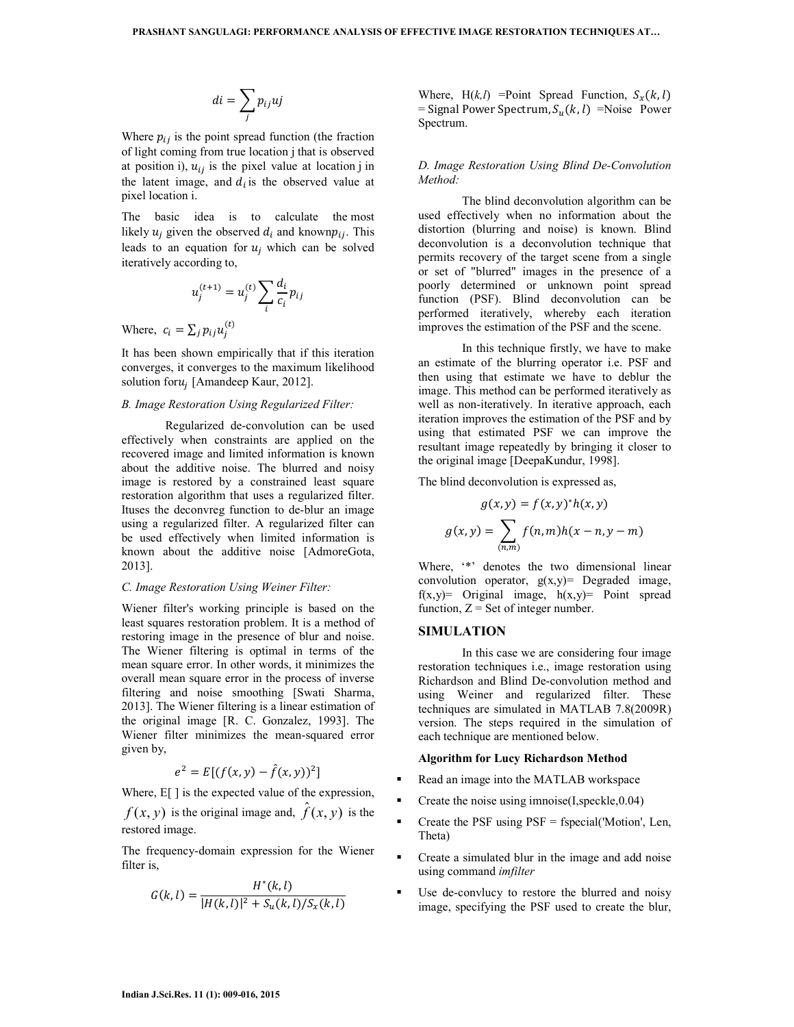$$
di = \sum_j p_{ij}uj
$$

Where  $p_{ij}$  is the point spread function (the fraction of light coming from true location j that is observed at position i),  $u_{ij}$  is the pixel value at location j in the latent image, and  $d_i$  is the observed value at pixel location i.

The basic idea is to calculate the most likely  $u_j$  given the observed  $d_i$  and known $p_{ij}$ . This leads to an equation for  $u_j$  which can be solved iteratively according to,

$$
u_j^{(t+1)} = u_j^{(t)} \sum_i \frac{d_i}{c_i} p_{ij}
$$

Where,  $c_i = \sum_j p_{ij} u_j^{(t)}$ 

It has been shown empirically that if this iteration converges, it converges to the maximum likelihood solution for $u_j$  [Amandeep Kaur, 2012].

## *B. Image Restoration Using Regularized Filter:*

Regularized de-convolution can be used effectively when constraints are applied on the recovered image and limited information is known about the additive noise. The blurred and noisy image is restored by a constrained least square restoration algorithm that uses a regularized filter. Ituses the deconvreg function to de-blur an image using a regularized filter. A regularized filter can be used effectively when limited information is known about the additive noise [AdmoreGota, 2013].

#### *C. Image Restoration Using Weiner Filter:*

Wiener filter's working principle is based on the least squares restoration problem. It is a method of restoring image in the presence of blur and noise. The Wiener filtering is optimal in terms of the mean square error. In other words, it minimizes the overall mean square error in the process of inverse filtering and noise smoothing [Swati Sharma, 2013]. The Wiener filtering is a linear estimation of the original image [R. C. Gonzalez, 1993]. The Wiener filter minimizes the mean-squared error given by,

$$
e^2 = E[(f(x, y) - \hat{f}(x, y))^2]
$$

Where,  $E[\ ]$  is the expected value of the expression,

 $f(x, y)$  is the original image and,  $\hat{f}(x, y)$  is the restored image.

The frequency-domain expression for the Wiener filter is,

$$
G(k,l) = \frac{H^*(k,l)}{|H(k,l)|^2 + S_u(k,l)/S_x(k,l)}
$$

Where,  $H(k, l)$  = Point Spread Function,  $S_x(k, l)$ = Signal Power Spectrum,  $S_u(k, l)$  =Noise Power Spectrum.

### *D. Image Restoration Using Blind De-Convolution Method:*

The blind deconvolution algorithm can be used effectively when no information about the distortion (blurring and noise) is known. Blind deconvolution is a deconvolution technique that permits recovery of the target scene from a single or set of "blurred" images in the presence of a poorly determined or unknown point spread function (PSF). Blind deconvolution can be performed iteratively, whereby each iteration improves the estimation of the PSF and the scene.

In this technique firstly, we have to make an estimate of the blurring operator i.e. PSF and then using that estimate we have to deblur the image. This method can be performed iteratively as well as non-iteratively. In iterative approach, each iteration improves the estimation of the PSF and by using that estimated PSF we can improve the resultant image repeatedly by bringing it closer to the original image [DeepaKundur, 1998].

The blind deconvolution is expressed as,

$$
g(x, y) = f(x, y)^{*}h(x, y)
$$
  
(x, y) =  $\sum_{(n,m)} f(n, m)h(x - n, y - m)$ 

 $\lambda$   $\lambda$   $\alpha$   $\lambda$   $\alpha$ 

Where, '\*' denotes the two dimensional linear convolution operator,  $g(x,y)$  Degraded image,  $f(x,y)$  = Original image,  $h(x,y)$  = Point spread function,  $Z =$  Set of integer number.

## **SIMULATION**

 $\ensuremath{\mathcal{g}}$ 

 In this case we are considering four image restoration techniques i.e., image restoration using Richardson and Blind De-convolution method and using Weiner and regularized filter. These techniques are simulated in MATLAB 7.8(2009R) version. The steps required in the simulation of each technique are mentioned below.

#### **Algorithm for Lucy Richardson Method**

- Read an image into the MATLAB workspace
- Create the noise using imnoise(I,speckle,0.04)
- Create the PSF using PSF = fspecial('Motion', Len, Theta)
- Create a simulated blur in the image and add noise using command *imfilter*
- Use de-convlucy to restore the blurred and noisy image, specifying the PSF used to create the blur,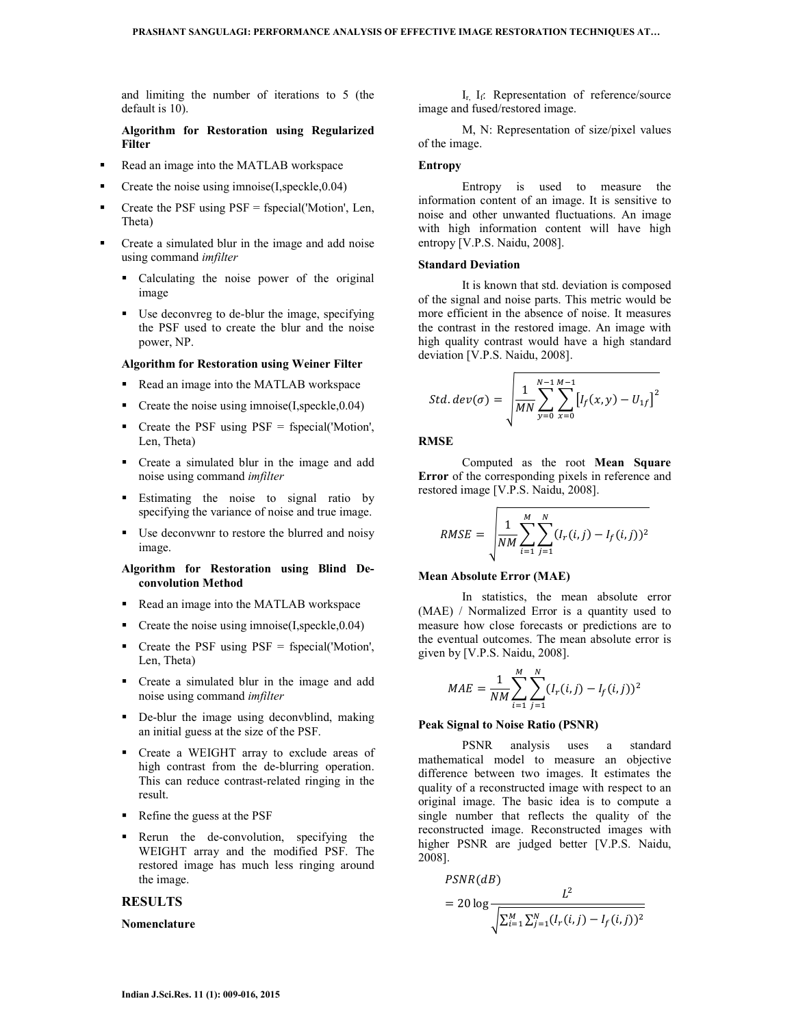and limiting the number of iterations to 5 (the default is 10).

## **Algorithm for Restoration using Regularized Filter**

- Read an image into the MATLAB workspace
- **•** Create the noise using imnoise $(I, \text{speckle}, 0.04)$
- $\blacksquare$  Create the PSF using PSF = fspecial('Motion', Len, Theta)
- Create a simulated blur in the image and add noise using command *imfilter*
	- Calculating the noise power of the original image
	- Use deconvreg to de-blur the image, specifying the PSF used to create the blur and the noise power, NP.

### **Algorithm for Restoration using Weiner Filter**

- Read an image into the MATLAB workspace
- Create the noise using imnoise(I,speckle, 0.04)
- Create the PSF using PSF = fspecial('Motion', Len, Theta)
- Create a simulated blur in the image and add noise using command *imfilter*
- **Estimating the noise to signal ratio by** specifying the variance of noise and true image.
- Use deconvwnr to restore the blurred and noisy image.

## **Algorithm for Restoration using Blind Deconvolution Method**

- Read an image into the MATLAB workspace
- **•** Create the noise using imnoise $(I, \text{speckle}, 0.04)$
- Create the PSF using PSF = fspecial('Motion', Len, Theta)
- Create a simulated blur in the image and add noise using command *imfilter*
- De-blur the image using deconvblind, making an initial guess at the size of the PSF.
- Create a WEIGHT array to exclude areas of high contrast from the de-blurring operation. This can reduce contrast-related ringing in the result.
- Refine the guess at the PSF
- Rerun the de-convolution, specifying the WEIGHT array and the modified PSF. The restored image has much less ringing around the image.

## **RESULTS**

#### **Nomenclature**

 $I_{r}$ ,  $I_{f}$ : Representation of reference/source image and fused/restored image.

 M, N: Representation of size/pixel values of the image.

#### **Entropy**

 Entropy is used to measure the information content of an image. It is sensitive to noise and other unwanted fluctuations. An image with high information content will have high entropy [V.P.S. Naidu, 2008].

### **Standard Deviation**

 It is known that std. deviation is composed of the signal and noise parts. This metric would be more efficient in the absence of noise. It measures the contrast in the restored image. An image with high quality contrast would have a high standard deviation [V.P.S. Naidu, 2008].

$$
Std. dev(\sigma) = \sqrt{\frac{1}{MN} \sum_{y=0}^{N-1} \sum_{x=0}^{M-1} [I_f(x, y) - U_{1f}]^2}
$$

### **RMSE**

 Computed as the root **Mean Square Error** of the corresponding pixels in reference and restored image [V.P.S. Naidu, 2008].

$$
RMSE = \sqrt{\frac{1}{NM} \sum_{i=1}^{M} \sum_{j=1}^{N} (I_r(i,j) - I_f(i,j))^2}
$$

#### **Mean Absolute Error (MAE)**

 In statistics, the mean absolute error (MAE) / Normalized Error is a quantity used to measure how close forecasts or predictions are to the eventual outcomes. The mean absolute error is given by [V.P.S. Naidu, 2008].

$$
MAE = \frac{1}{NM} \sum_{i=1}^{M} \sum_{j=1}^{N} (I_r(i,j) - I_f(i,j))^2
$$

## **Peak Signal to Noise Ratio (PSNR)**

 PSNR analysis uses a standard mathematical model to measure an objective difference between two images. It estimates the quality of a reconstructed image with respect to an original image. The basic idea is to compute a single number that reflects the quality of the reconstructed image. Reconstructed images with higher PSNR are judged better [V.P.S. Naidu, 2008].

$$
PSNR(dB)
$$
  
= 20 log 
$$
\frac{L^2}{\sqrt{\sum_{i=1}^{M} \sum_{j=1}^{N} (I_r(i,j) - I_f(i,j))^2}}
$$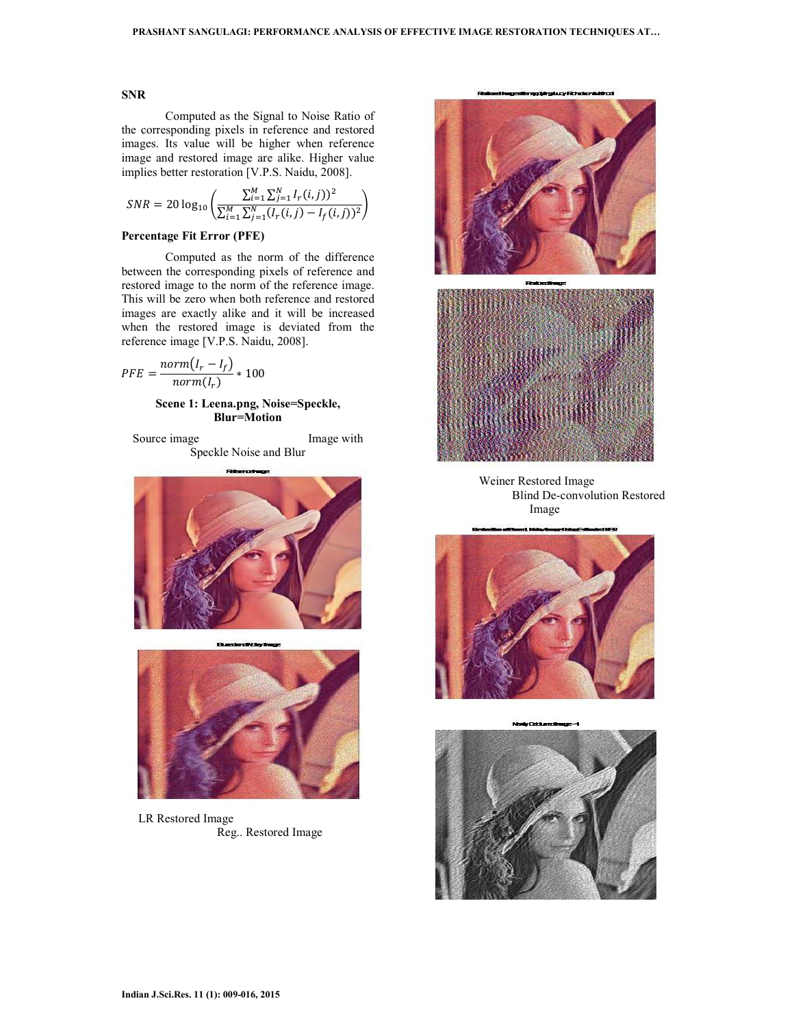# **SNR**

 Computed as the Signal to Noise Ratio of the corresponding pixels in reference and restored images. Its value will be higher when reference image and restored image are alike. Higher value implies better restoration [V.P.S. Naidu, 2008].

$$
SNR = 20 \log_{10} \left( \frac{\sum_{i=1}^{M} \sum_{j=1}^{N} I_r(i,j))^2}{\sum_{i=1}^{M} \sum_{j=1}^{N} (I_r(i,j) - I_f(i,j))^2} \right)
$$

## **Percentage Fit Error (PFE)**

 Computed as the norm of the difference between the corresponding pixels of reference and restored image to the norm of the reference image. This will be zero when both reference and restored images are exactly alike and it will be increased when the restored image is deviated from the reference image [V.P.S. Naidu, 2008].

$$
PFE = \frac{norm(I_r - I_f)}{norm(I_r)} * 100
$$

## **Scene 1: Leena.png, Noise=Speckle, Blur=Motion**

Source image Image with Speckle Noise and Blur



LR Restored Image Reg.. Restored Image



Weiner Restored Image Blind De-convolution Restored Image



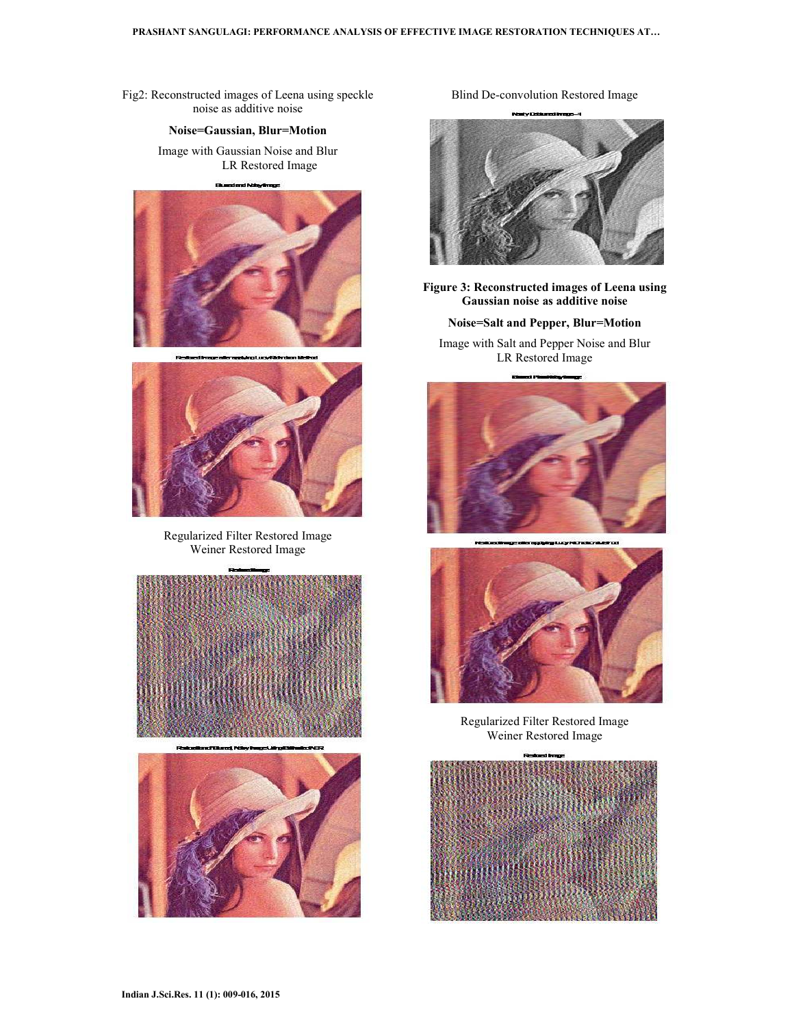Fig2: Reconstructed images of Leena using speckle noise as additive noise

### **Noise=Gaussian, Blur=Motion**

Image with Gaussian Noise and Blur LR Restored Image





Regularized Filter Restored Image Weiner Restored Image





Blind De-convolution Restored Image



**Figure 3: Reconstructed images of Leena using Gaussian noise as additive noise** 

**Noise=Salt and Pepper, Blur=Motion** 

Image with Salt and Pepper Noise and Blur LR Restored Image





Regularized Filter Restored Image Weiner Restored Image

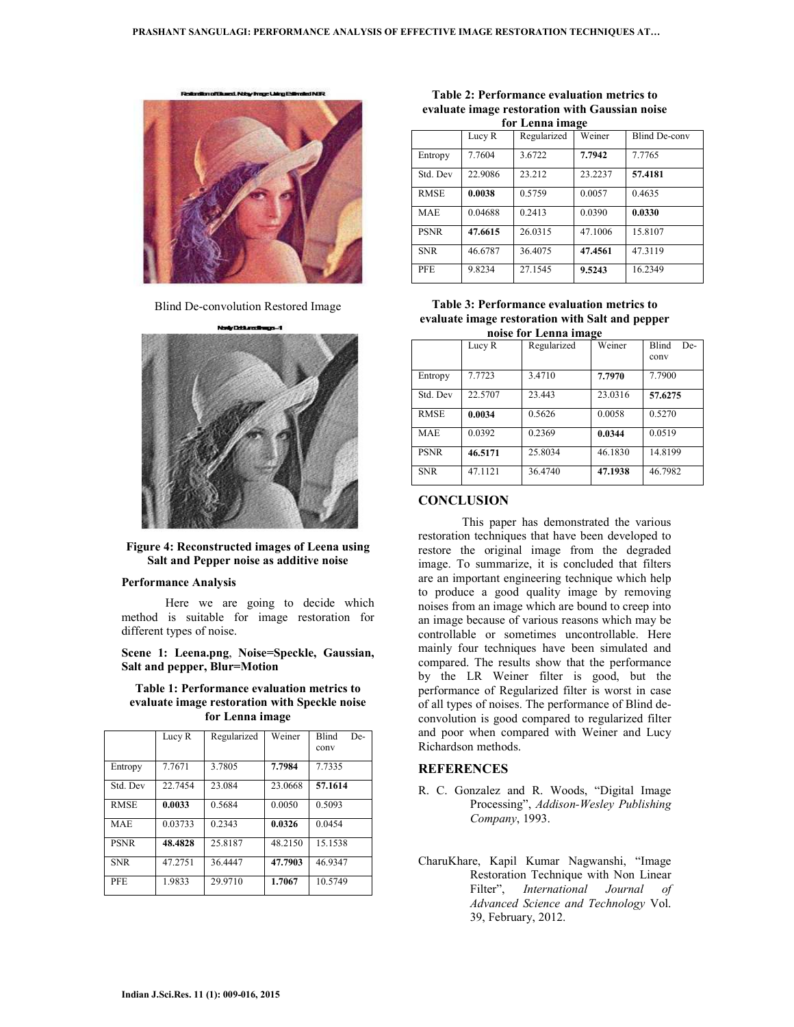n of Burrel, Nike-Imag Uring



Blind De-convolution Restored Image



### **Figure 4: Reconstructed images of Leena using Salt and Pepper noise as additive noise**

#### **Performance Analysis**

 Here we are going to decide which method is suitable for image restoration for different types of noise.

**Scene 1: Leena.png**, **Noise=Speckle, Gaussian, Salt and pepper, Blur=Motion**

**Table 1: Performance evaluation metrics to evaluate image restoration with Speckle noise for Lenna image** 

|             | Lucy R  | Regularized | Weiner  | <b>Blind</b><br>De-<br>conv |
|-------------|---------|-------------|---------|-----------------------------|
| Entropy     | 7.7671  | 3.7805      | 7.7984  | 7.7335                      |
| Std. Dev    | 22.7454 | 23.084      | 23.0668 | 57.1614                     |
| <b>RMSE</b> | 0.0033  | 0.5684      | 0.0050  | 0.5093                      |
| <b>MAE</b>  | 0.03733 | 0.2343      | 0.0326  | 0.0454                      |
| <b>PSNR</b> | 48.4828 | 25.8187     | 48.2150 | 15.1538                     |
| <b>SNR</b>  | 47.2751 | 36.4447     | 47.7903 | 46.9347                     |
| <b>PFE</b>  | 1.9833  | 29.9710     | 1.7067  | 10.5749                     |

**Table 2: Performance evaluation metrics to evaluate image restoration with Gaussian noise for Lenna image** 

| ічі Іліна інагі |         |             |         |                      |  |  |  |  |
|-----------------|---------|-------------|---------|----------------------|--|--|--|--|
|                 | Lucy R  | Regularized | Weiner  | <b>Blind De-conv</b> |  |  |  |  |
| Entropy         | 7.7604  | 3.6722      | 7.7942  | 7.7765               |  |  |  |  |
| Std. Dev        | 22.9086 | 23.212      | 23.2237 | 57.4181              |  |  |  |  |
| <b>RMSE</b>     | 0.0038  | 0.5759      | 0.0057  | 0.4635               |  |  |  |  |
| <b>MAE</b>      | 0.04688 | 0.2413      | 0.0390  | 0.0330               |  |  |  |  |
| <b>PSNR</b>     | 47.6615 | 26.0315     | 47.1006 | 15.8107              |  |  |  |  |
| <b>SNR</b>      | 46.6787 | 36.4075     | 47.4561 | 47.3119              |  |  |  |  |
| <b>PFE</b>      | 9.8234  | 27.1545     | 9.5243  | 16.2349              |  |  |  |  |

**Table 3: Performance evaluation metrics to evaluate image restoration with Salt and pepper noise for Lenna image** 

| пове тот пенна пнаге |         |             |         |                             |  |  |  |  |
|----------------------|---------|-------------|---------|-----------------------------|--|--|--|--|
|                      | Lucy R  | Regularized | Weiner  | <b>Blind</b><br>De-<br>conv |  |  |  |  |
| Entropy              | 7.7723  | 3.4710      | 7.7970  | 7.7900                      |  |  |  |  |
| Std. Dev             | 22.5707 | 23.443      | 23.0316 | 57.6275                     |  |  |  |  |
| <b>RMSE</b>          | 0.0034  | 0.5626      | 0.0058  | 0.5270                      |  |  |  |  |
| <b>MAE</b>           | 0.0392  | 0.2369      | 0.0344  | 0.0519                      |  |  |  |  |
| <b>PSNR</b>          | 46.5171 | 25.8034     | 46.1830 | 14.8199                     |  |  |  |  |
| <b>SNR</b>           | 47.1121 | 36.4740     | 47.1938 | 46.7982                     |  |  |  |  |

# **CONCLUSION**

 This paper has demonstrated the various restoration techniques that have been developed to restore the original image from the degraded image. To summarize, it is concluded that filters are an important engineering technique which help to produce a good quality image by removing noises from an image which are bound to creep into an image because of various reasons which may be controllable or sometimes uncontrollable. Here mainly four techniques have been simulated and compared. The results show that the performance by the LR Weiner filter is good, but the performance of Regularized filter is worst in case of all types of noises. The performance of Blind deconvolution is good compared to regularized filter and poor when compared with Weiner and Lucy Richardson methods.

# **REFERENCES**

- R. C. Gonzalez and R. Woods, "Digital Image Processing", *Addison-Wesley Publishing Company*, 1993.
- CharuKhare, Kapil Kumar Nagwanshi, "Image Restoration Technique with Non Linear Filter", *International Journal of Advanced Science and Technology* Vol. 39, February, 2012.